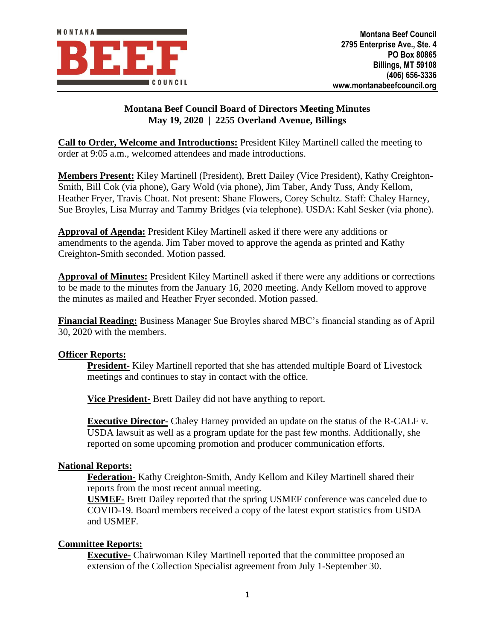

# **Montana Beef Council Board of Directors Meeting Minutes May 19, 2020 | 2255 Overland Avenue, Billings**

**Call to Order, Welcome and Introductions:** President Kiley Martinell called the meeting to order at 9:05 a.m., welcomed attendees and made introductions.

**Members Present:** Kiley Martinell (President), Brett Dailey (Vice President), Kathy Creighton-Smith, Bill Cok (via phone), Gary Wold (via phone), Jim Taber, Andy Tuss, Andy Kellom, Heather Fryer, Travis Choat. Not present: Shane Flowers, Corey Schultz. Staff: Chaley Harney, Sue Broyles, Lisa Murray and Tammy Bridges (via telephone). USDA: Kahl Sesker (via phone).

**Approval of Agenda:** President Kiley Martinell asked if there were any additions or amendments to the agenda. Jim Taber moved to approve the agenda as printed and Kathy Creighton-Smith seconded. Motion passed.

**Approval of Minutes:** President Kiley Martinell asked if there were any additions or corrections to be made to the minutes from the January 16, 2020 meeting. Andy Kellom moved to approve the minutes as mailed and Heather Fryer seconded. Motion passed.

**Financial Reading:** Business Manager Sue Broyles shared MBC's financial standing as of April 30, 2020 with the members.

## **Officer Reports:**

**President-** Kiley Martinell reported that she has attended multiple Board of Livestock meetings and continues to stay in contact with the office.

**Vice President-** Brett Dailey did not have anything to report.

**Executive Director-** Chaley Harney provided an update on the status of the R-CALF v. USDA lawsuit as well as a program update for the past few months. Additionally, she reported on some upcoming promotion and producer communication efforts.

## **National Reports:**

**Federation-** Kathy Creighton-Smith, Andy Kellom and Kiley Martinell shared their reports from the most recent annual meeting.

**USMEF-** Brett Dailey reported that the spring USMEF conference was canceled due to COVID-19. Board members received a copy of the latest export statistics from USDA and USMEF.

## **Committee Reports:**

**Executive-** Chairwoman Kiley Martinell reported that the committee proposed an extension of the Collection Specialist agreement from July 1-September 30.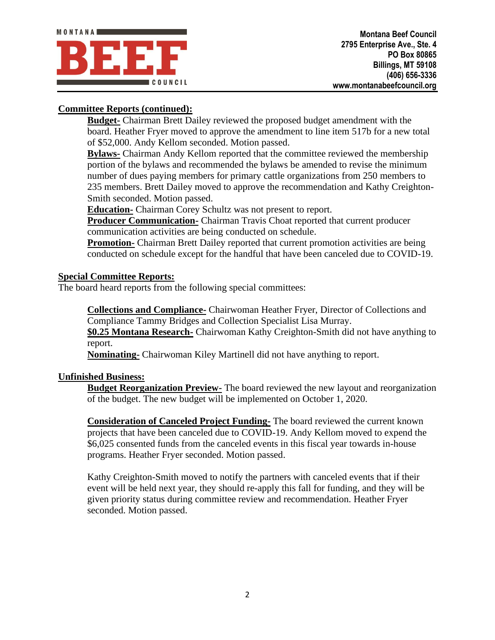

# **Committee Reports (continued):**

**Budget-** Chairman Brett Dailey reviewed the proposed budget amendment with the board. Heather Fryer moved to approve the amendment to line item 517b for a new total of \$52,000. Andy Kellom seconded. Motion passed.

**Bylaws-** Chairman Andy Kellom reported that the committee reviewed the membership portion of the bylaws and recommended the bylaws be amended to revise the minimum number of dues paying members for primary cattle organizations from 250 members to 235 members. Brett Dailey moved to approve the recommendation and Kathy Creighton-Smith seconded. Motion passed.

**Education-** Chairman Corey Schultz was not present to report.

**Producer Communication-** Chairman Travis Choat reported that current producer communication activities are being conducted on schedule.

**Promotion-** Chairman Brett Dailey reported that current promotion activities are being conducted on schedule except for the handful that have been canceled due to COVID-19.

## **Special Committee Reports:**

The board heard reports from the following special committees:

**Collections and Compliance-** Chairwoman Heather Fryer, Director of Collections and Compliance Tammy Bridges and Collection Specialist Lisa Murray.

**\$0.25 Montana Research-** Chairwoman Kathy Creighton-Smith did not have anything to report.

**Nominating-** Chairwoman Kiley Martinell did not have anything to report.

#### **Unfinished Business:**

**Budget Reorganization Preview-** The board reviewed the new layout and reorganization of the budget. The new budget will be implemented on October 1, 2020.

**Consideration of Canceled Project Funding-** The board reviewed the current known projects that have been canceled due to COVID-19. Andy Kellom moved to expend the \$6,025 consented funds from the canceled events in this fiscal year towards in-house programs. Heather Fryer seconded. Motion passed.

Kathy Creighton-Smith moved to notify the partners with canceled events that if their event will be held next year, they should re-apply this fall for funding, and they will be given priority status during committee review and recommendation. Heather Fryer seconded. Motion passed.